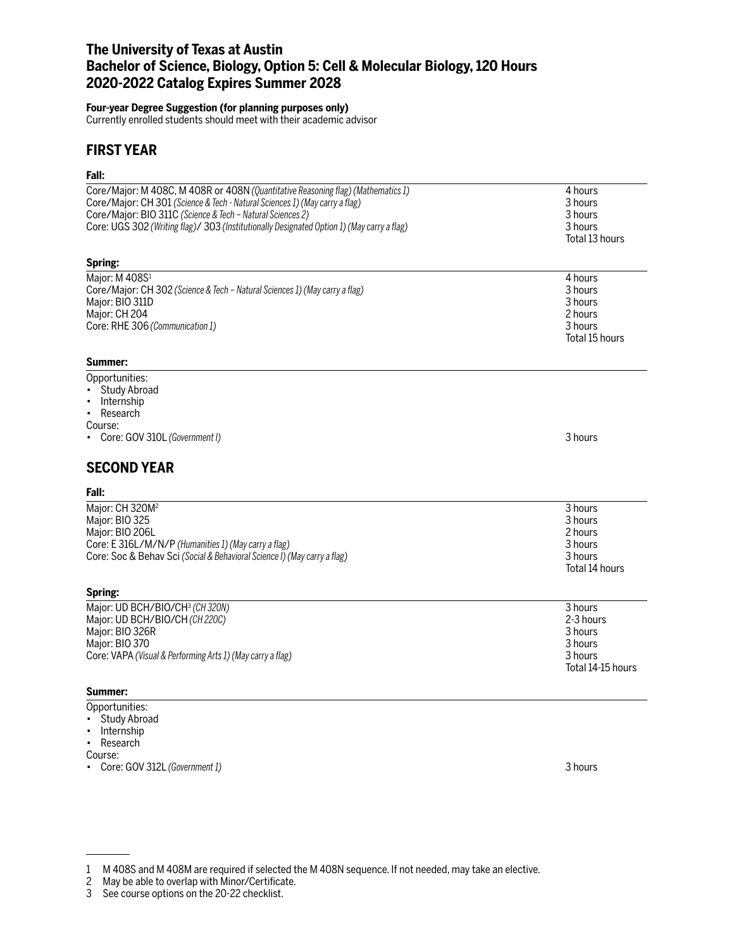# **The University of Texas at Austin Bachelor of Science, Biology, Option 5: Cell & Molecular Biology, 120 Hours 2020-2022 Catalog Expires Summer 2028**

### **Four-year Degree Suggestion (for planning purposes only)**

Currently enrolled students should meet with their academic advisor

# **FIRST YEAR**

## **Fall:**

| ган.                                                                                       |                   |
|--------------------------------------------------------------------------------------------|-------------------|
| Core/Major: M 408C, M 408R or 408N (Quantitative Reasoning flag) (Mathematics 1)           | 4 hours           |
| Core/Major: CH 301 (Science & Tech - Natural Sciences 1) (May carry a flag)                | 3 hours           |
| Core/Major: BIO 311C (Science & Tech - Natural Sciences 2)                                 | 3 hours           |
| Core: UGS 302 (Writing flag)/ 303 (Institutionally Designated Option 1) (May carry a flag) | 3 hours           |
|                                                                                            | Total 13 hours    |
|                                                                                            |                   |
| Spring:                                                                                    |                   |
| Major: M 408S1                                                                             | 4 hours           |
| Core/Major: CH 302 (Science & Tech - Natural Sciences 1) (May carry a flag)                | 3 hours           |
| Major: BIO 311D                                                                            | 3 hours           |
| Major: CH 204                                                                              | 2 hours           |
| Core: RHE 306 (Communication 1)                                                            | 3 hours           |
|                                                                                            | Total 15 hours    |
|                                                                                            |                   |
| Summer:                                                                                    |                   |
| Opportunities:                                                                             |                   |
| Study Abroad                                                                               |                   |
| Internship<br>$\bullet$                                                                    |                   |
| Research<br>$\bullet$                                                                      |                   |
| Course:                                                                                    |                   |
| Core: GOV 310L (Government I)                                                              | 3 hours           |
|                                                                                            |                   |
| <b>SECOND YEAR</b>                                                                         |                   |
| Fall:                                                                                      |                   |
| Major: CH 320M <sup>2</sup>                                                                | 3 hours           |
| Major: BIO 325                                                                             | 3 hours           |
| Major: BIO 206L                                                                            | 2 hours           |
| Core: E 316L/M/N/P (Humanities 1) (May carry a flag)                                       | 3 hours           |
| Core: Soc & Behav Sci (Social & Behavioral Science I) (May carry a flag)                   | 3 hours           |
|                                                                                            | Total 14 hours    |
|                                                                                            |                   |
| Spring:                                                                                    |                   |
| Major: UD BCH/BIO/CH3 (CH320N)                                                             | 3 hours           |
| Major: UD BCH/BIO/CH (CH 220C)                                                             | 2-3 hours         |
| Major: BIO 326R                                                                            | 3 hours           |
| Major: BIO 370                                                                             | 3 hours           |
| Core: VAPA (Visual & Performing Arts 1) (May carry a flag)                                 | 3 hours           |
|                                                                                            | Total 14-15 hours |
|                                                                                            |                   |
| Summer:                                                                                    |                   |
| Opportunities:                                                                             |                   |

- Study Abroad
- Internship
- Research

Course:

• Core: GOV 312L *(Government 1)* 3 hours

<sup>1</sup> M 408S and M 408M are required if selected the M 408N sequence. If not needed, may take an elective.

<sup>2</sup> May be able to overlap with Minor/Certificate.

<sup>3</sup> See course options on the 20-22 checklist.